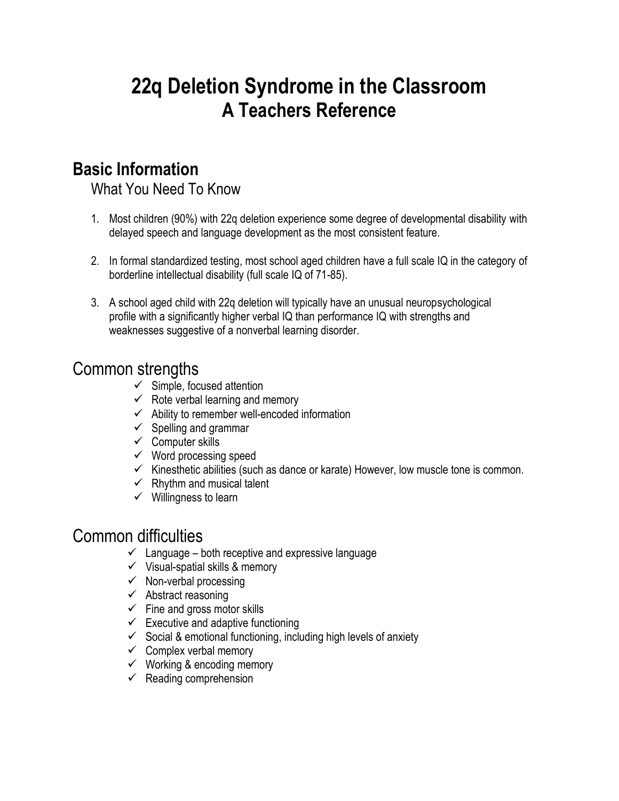# **22q Deletion Syndrome in the Classroom A Teachers Reference**

# **Basic Information**

What You Need To Know

- 1. Most children (90%) with 22q deletion experience some degree of developmental disability with delayed speech and language development as the most consistent feature.
- 2. In formal standardized testing, most school aged children have a full scale IQ in the category of borderline intellectual disability (full scale IQ of 71-85).
- 3. A school aged child with 22q deletion will typically have an unusual neuropsychological profile with a significantly higher verbal IQ than performance IQ with strengths and weaknesses suggestive of a nonverbal learning disorder.

# Common strengths

- $\checkmark$  Simple, focused attention
- $\checkmark$  Rote verbal learning and memory
- $\checkmark$  Ability to remember well-encoded information
- $\checkmark$  Spelling and grammar
- $\checkmark$  Computer skills
- $\checkmark$  Word processing speed
- $\checkmark$  Kinesthetic abilities (such as dance or karate) However, low muscle tone is common.
- $\checkmark$  Rhythm and musical talent
- $\checkmark$  Willingness to learn

# Common difficulties

- $\checkmark$  Language both receptive and expressive language
- $\checkmark$  Visual-spatial skills & memory
- $\checkmark$  Non-verbal processing
- $\checkmark$  Abstract reasoning
- $\checkmark$  Fine and gross motor skills
- $\checkmark$  Executive and adaptive functioning
- $\checkmark$  Social & emotional functioning, including high levels of anxiety
- $\checkmark$  Complex verbal memory
- $\checkmark$  Working & encoding memory
- $\checkmark$  Reading comprehension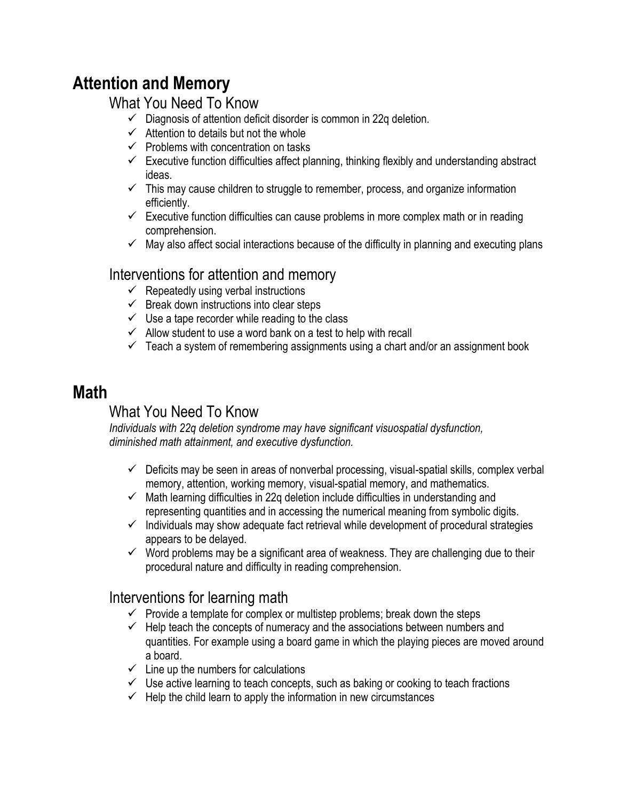# **Attention and Memory**

### What You Need To Know

- $\checkmark$  Diagnosis of attention deficit disorder is common in 22q deletion.
- $\checkmark$  Attention to details but not the whole
- $\checkmark$  Problems with concentration on tasks
- $\checkmark$  Executive function difficulties affect planning, thinking flexibly and understanding abstract ideas.
- $\checkmark$  This may cause children to struggle to remember, process, and organize information efficiently.
- $\checkmark$  Executive function difficulties can cause problems in more complex math or in reading comprehension.
- $\checkmark$  May also affect social interactions because of the difficulty in planning and executing plans

### Interventions for attention and memory

- $\checkmark$  Repeatedly using verbal instructions
- $\checkmark$  Break down instructions into clear steps
- $\checkmark$  Use a tape recorder while reading to the class
- $\checkmark$  Allow student to use a word bank on a test to help with recall
- $\checkmark$  Teach a system of remembering assignments using a chart and/or an assignment book

# **Math**

## What You Need To Know

*Individuals with 22q deletion syndrome may have significant visuospatial dysfunction, diminished math attainment, and executive dysfunction.*

- $\checkmark$  Deficits may be seen in areas of nonverbal processing, visual-spatial skills, complex verbal memory, attention, working memory, visual-spatial memory, and mathematics.
- $\checkmark$  Math learning difficulties in 22q deletion include difficulties in understanding and representing quantities and in accessing the numerical meaning from symbolic digits.
- $\checkmark$  Individuals may show adequate fact retrieval while development of procedural strategies appears to be delayed.
- $\checkmark$  Word problems may be a significant area of weakness. They are challenging due to their procedural nature and difficulty in reading comprehension.

#### Interventions for learning math

- $\checkmark$  Provide a template for complex or multistep problems; break down the steps
- $\checkmark$  Help teach the concepts of numeracy and the associations between numbers and quantities. For example using a board game in which the playing pieces are moved around a board.
- $\checkmark$  Line up the numbers for calculations
- $\checkmark$  Use active learning to teach concepts, such as baking or cooking to teach fractions
- $\checkmark$  Help the child learn to apply the information in new circumstances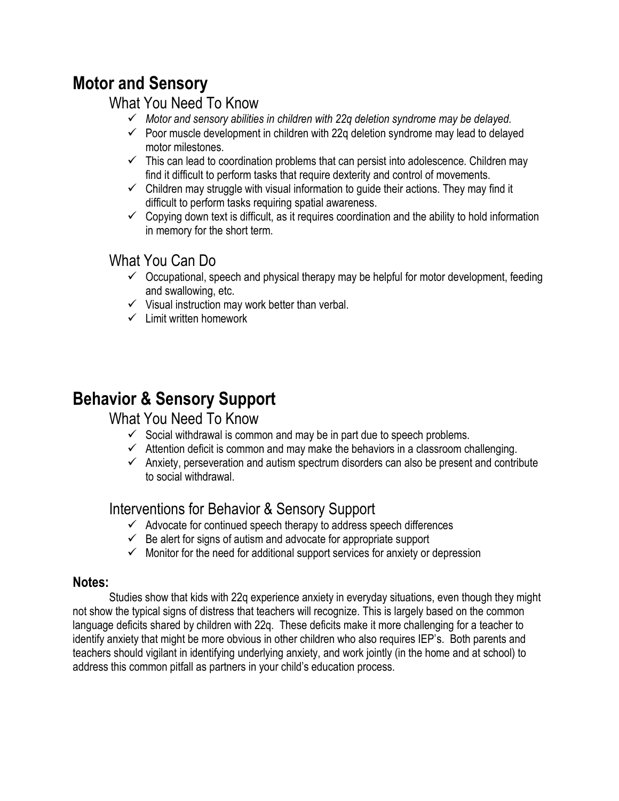# **Motor and Sensory**

#### What You Need To Know

- *Motor and sensory abilities in children with 22q deletion syndrome may be delayed.*
- $\checkmark$  Poor muscle development in children with 22q deletion syndrome may lead to delayed motor milestones.
- $\checkmark$  This can lead to coordination problems that can persist into adolescence. Children may find it difficult to perform tasks that require dexterity and control of movements.
- $\checkmark$  Children may struggle with visual information to guide their actions. They may find it difficult to perform tasks requiring spatial awareness.
- $\checkmark$  Copying down text is difficult, as it requires coordination and the ability to hold information in memory for the short term.

### What You Can Do

- $\checkmark$  Occupational, speech and physical therapy may be helpful for motor development, feeding and swallowing, etc.
- $\checkmark$  Visual instruction may work better than verbal.
- $\checkmark$  Limit written homework

# **Behavior & Sensory Support**

#### What You Need To Know

- $\checkmark$  Social withdrawal is common and may be in part due to speech problems.
- $\checkmark$  Attention deficit is common and may make the behaviors in a classroom challenging.
- $\checkmark$  Anxiety, perseveration and autism spectrum disorders can also be present and contribute to social withdrawal.

#### Interventions for Behavior & Sensory Support

- $\checkmark$  Advocate for continued speech therapy to address speech differences
- $\checkmark$  Be alert for signs of autism and advocate for appropriate support
- $\checkmark$  Monitor for the need for additional support services for anxiety or depression

#### **Notes:**

Studies show that kids with 22q experience anxiety in everyday situations, even though they might not show the typical signs of distress that teachers will recognize. This is largely based on the common language deficits shared by children with 22q. These deficits make it more challenging for a teacher to identify anxiety that might be more obvious in other children who also requires IEP's. Both parents and teachers should vigilant in identifying underlying anxiety, and work jointly (in the home and at school) to address this common pitfall as partners in your child's education process.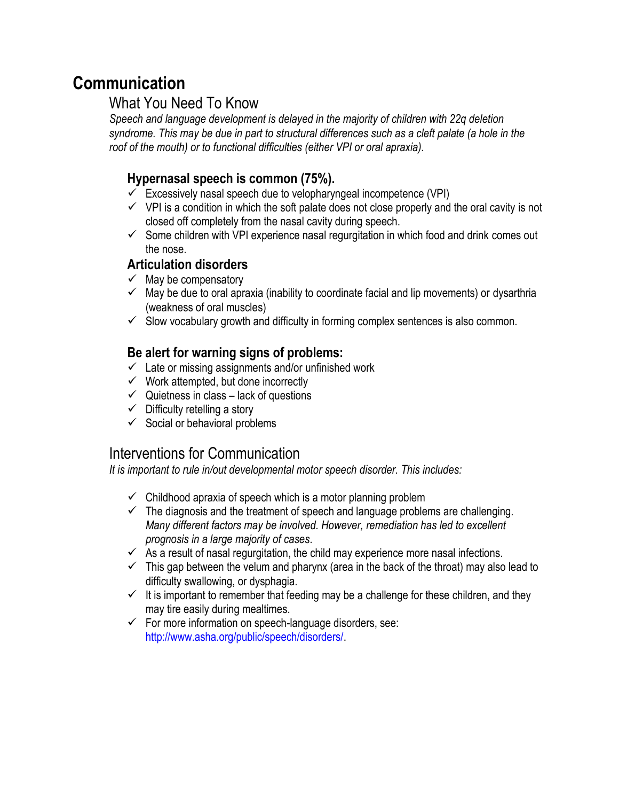# **Communication**

#### What You Need To Know

*Speech and language development is delayed in the majority of children with 22q deletion syndrome. This may be due in part to structural differences such as a cleft palate (a hole in the roof of the mouth) or to functional difficulties (either VPI or oral apraxia).*

#### **Hypernasal speech is common (75%).**

- $\checkmark$  Excessively nasal speech due to velopharyngeal incompetence (VPI)
- $\checkmark$  VPI is a condition in which the soft palate does not close properly and the oral cavity is not closed off completely from the nasal cavity during speech.
- $\checkmark$  Some children with VPI experience nasal regurgitation in which food and drink comes out the nose.

#### **Articulation disorders**

- $\checkmark$  May be compensatory
- $\checkmark$  May be due to oral apraxia (inability to coordinate facial and lip movements) or dysarthria (weakness of oral muscles)
- $\checkmark$  Slow vocabulary growth and difficulty in forming complex sentences is also common.

#### **Be alert for warning signs of problems:**

- $\checkmark$  Late or missing assignments and/or unfinished work
- $\checkmark$  Work attempted, but done incorrectly
- $\checkmark$  Quietness in class lack of questions
- $\checkmark$  Difficulty retelling a story
- $\checkmark$  Social or behavioral problems

### Interventions for Communication

*It is important to rule in/out developmental motor speech disorder. This includes:*

- $\checkmark$  Childhood apraxia of speech which is a motor planning problem
- $\checkmark$  The diagnosis and the treatment of speech and language problems are challenging. *Many different factors may be involved. However, remediation has led to excellent prognosis in a large majority of cases.*
- $\checkmark$  As a result of nasal regurgitation, the child may experience more nasal infections.
- $\checkmark$  This gap between the velum and pharynx (area in the back of the throat) may also lead to difficulty swallowing, or dysphagia.
- $\checkmark$  It is important to remember that feeding may be a challenge for these children, and they may tire easily during mealtimes.
- $\checkmark$  For more information on speech-language disorders, see: http://www.asha.org/public/speech/disorders/.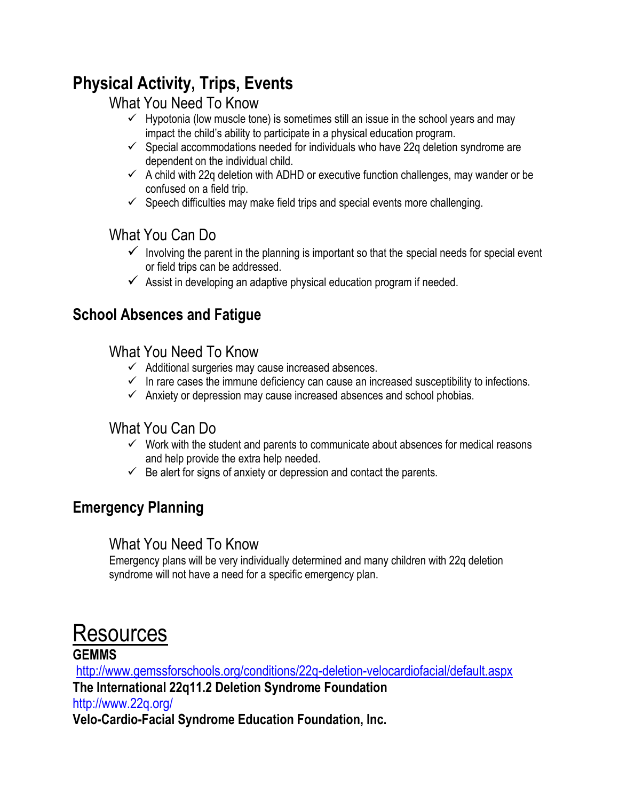# **Physical Activity, Trips, Events**

### What You Need To Know

- $\checkmark$  Hypotonia (low muscle tone) is sometimes still an issue in the school years and may impact the child's ability to participate in a physical education program.
- $\checkmark$  Special accommodations needed for individuals who have 22q deletion syndrome are dependent on the individual child.
- $\checkmark$  A child with 22q deletion with ADHD or executive function challenges, may wander or be confused on a field trip.
- $\checkmark$  Speech difficulties may make field trips and special events more challenging.

### What You Can Do

- $\checkmark$  Involving the parent in the planning is important so that the special needs for special event or field trips can be addressed.
- $\checkmark$  Assist in developing an adaptive physical education program if needed.

# **School Absences and Fatigue**

### What You Need To Know

- $\checkmark$  Additional surgeries may cause increased absences.
- $\checkmark$  In rare cases the immune deficiency can cause an increased susceptibility to infections.
- $\checkmark$  Anxiety or depression may cause increased absences and school phobias.

## What You Can Do

- $\checkmark$  Work with the student and parents to communicate about absences for medical reasons and help provide the extra help needed.
- $\checkmark$  Be alert for signs of anxiety or depression and contact the parents.

# **Emergency Planning**

### What You Need To Know

Emergency plans will be very individually determined and many children with 22q deletion syndrome will not have a need for a specific emergency plan.

# Resources

#### **GEMMS**

<http://www.gemssforschools.org/conditions/22q-deletion-velocardiofacial/default.aspx> **The International 22q11.2 Deletion Syndrome Foundation** http://www.22q.org/ **Velo-Cardio-Facial Syndrome Education Foundation, Inc.**